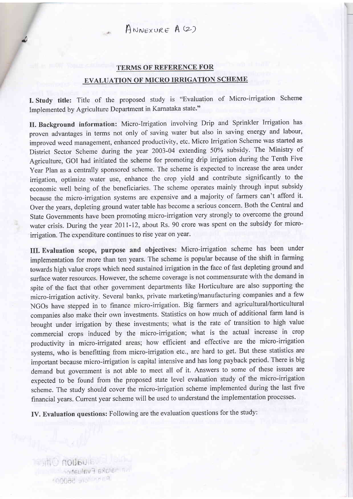$A_{NNFXURE} A (2)$ 

a

## TERMS OF REFERENCE FOR EVALUATION OF MICRO IRRIGATION SCHEME

I. Study title: Title of the proposed study is "Evaluation of Micro-irrigation Scheme Implemented by Agriculture Department in Kamataka state."

II. Background information: Micro-Irrigation involving Drip and Sprinkler Irrigation has proven advantages in terms not only of saving water but also in saving energy and labour, improved weed management, enhanced productivity, etc. Micro Irrigation Scheme was started as District Sector Scheme during the year 2003-04 extending 50% subsidy. The Ministry of Agriculture, GOI had initiated the scheme for promoting drip irrigation during the Tenth Five Year Plan as a centrally sponsored scheme. The scheme is expected to increase the area under irrigation, optimize water use, enhance the crop yield and contribute significantly to the economic well being of the beneficiaries. The scheme operates mainly through input subsidy because the micro-irrigation systems are expensive and a majority of farmers can't afford it. Over the years, depleting ground water table has become a serious concern. Both the Central and State Governments have been promoting micro-irrigation very strongly to overcome the ground water crisis. During the year 20Il-12, about Rs. 90 crore was spent on the subsidy for microirrigation. The expenditure continues to rise year on year.

III. Evaluation scope, purpose and objectives: Micro-irrigation scheme has been under implementation for more than ten years. The scheme is popular because of the shift in farming towards high value crops which need sustained irrigation in the face of fast depleting ground and surface water resources. However, the scheme coverage is not commensurate with the demand in spite of the fact that other government departments like Horticulture are also supporting the micro-irrigation activity. Several banks, private marketing/manufacturing companies and a few NGOs have stepped in to finance micro-irrigation. Big farmers and agricultural/horticultural companies also make their own investments. Statistics on how much of additional farm land is brought under irrigation by these investments; what is the rate of transition to high value commercial crops induced by the micro-irrigation; what is the actual increase in crop productivity in micro-irrigated areas; how efficient and effective are the micro-irrigation systems, who is benefitting from micro-irrigation etc., are hard to get. But these statistics are important because micro-irrigation is capital intensive and has long payback period. There is big demand but government is not able to meet all of it. Answers to some of these issues are expected to be found from the proposed state level evaluation study of the micro-irrigation scheme. The study should cover the micro-irrigation scheme implemented during the last five financial years. Current year scheme will be used to understand the implementation processes.

IV. Evaluation questions: Following are the evaluation questions for the study:

**MONDULE National Evaluation Andre S6000**